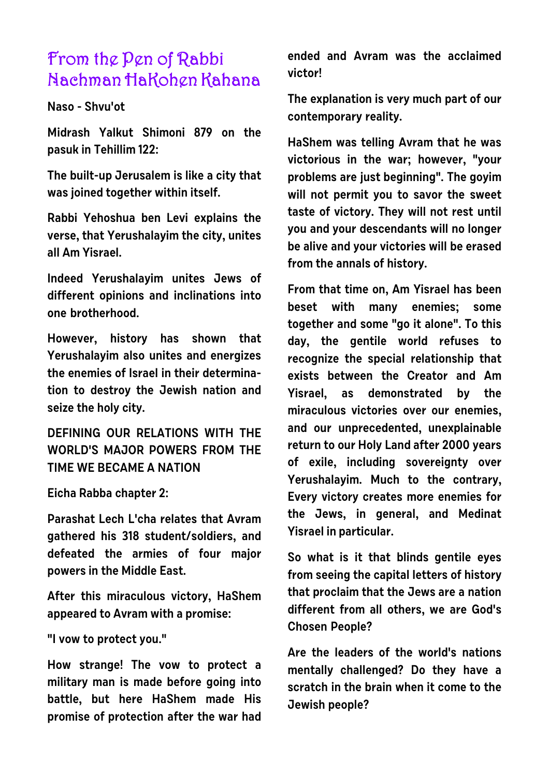## **From the Pen of Rabbi Nachman HaKohen Kahana**

## **Naso - Shvu'ot**

**Midrash Yalkut Shimoni 879 on the pasuk in Tehillim 122:** 

**The built-up Jerusalem is like a city that was joined together within itself.**

**Rabbi Yehoshua ben Levi explains the verse, that Yerushalayim the city, unites all Am Yisrael.**

**Indeed Yerushalayim unites Jews of different opinions and inclinations into one brotherhood.**

**However, history has shown that Yerushalayim also unites and energizes the enemies of Israel in their determination to destroy the Jewish nation and seize the holy city.**

**DEFINING OUR RELATIONS WITH THE WORLD'S MAJOR POWERS FROM THE TIME WE BECAME A NATION**

**Eicha Rabba chapter 2:**

**Parashat Lech L'cha relates that Avram gathered his 318 student/soldiers, and defeated the armies of four major powers in the Middle East.** 

**After this miraculous victory, HaShem appeared to Avram with a promise:** 

## **"I vow to protect you."**

**How strange! The vow to protect a military man is made before going into battle, but here HaShem made His promise of protection after the war had** **ended and Avram was the acclaimed victor!** 

**The explanation is very much part of our contemporary reality.**

**HaShem was telling Avram that he was victorious in the war; however, "your problems are just beginning". The goyim will not permit you to savor the sweet taste of victory. They will not rest until you and your descendants will no longer be alive and your victories will be erased from the annals of history.**

**From that time on, Am Yisrael has been beset with many enemies; some together and some "go it alone". To this day, the gentile world refuses to recognize the special relationship that exists between the Creator and Am Yisrael, as demonstrated by the miraculous victories over our enemies, and our unprecedented, unexplainable return to our Holy Land after 2000 years of exile, including sovereignty over Yerushalayim. Much to the contrary, Every victory creates more enemies for the Jews, in general, and Medinat Yisrael in particular.**

**So what is it that blinds gentile eyes from seeing the capital letters of history that proclaim that the Jews are a nation different from all others, we are God's Chosen People?**

**Are the leaders of the world's nations mentally challenged? Do they have a scratch in the brain when it come to the Jewish people?**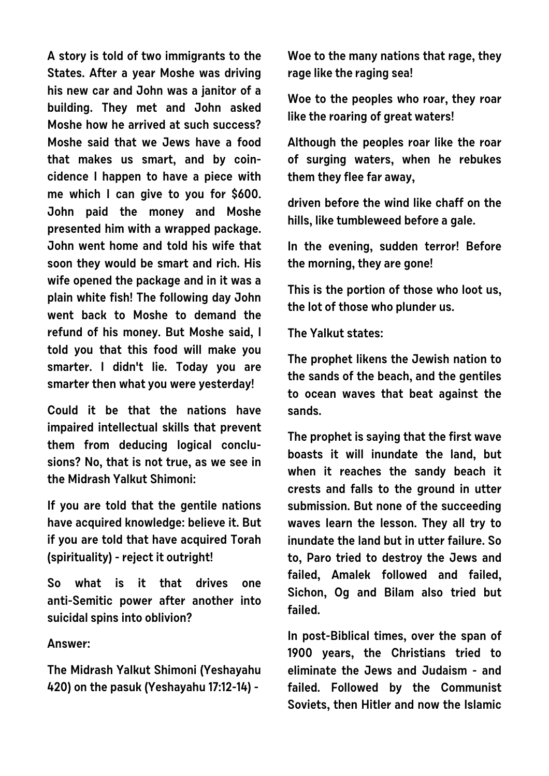**A story is told of two immigrants to the States. After a year Moshe was driving his new car and John was a janitor of a building. They met and John asked Moshe how he arrived at such success? Moshe said that we Jews have a food that makes us smart, and by coincidence I happen to have a piece with me which I can give to you for \$600. John paid the money and Moshe presented him with a wrapped package. John went home and told his wife that soon they would be smart and rich. His wife opened the package and in it was a plain white fish! The following day John went back to Moshe to demand the refund of his money. But Moshe said, I told you that this food will make you smarter. I didn't lie. Today you are smarter then what you were yesterday!**

**Could it be that the nations have impaired intellectual skills that prevent them from deducing logical conclusions? No, that is not true, as we see in the Midrash Yalkut Shimoni:**

**If you are told that the gentile nations have acquired knowledge: believe it. But if you are told that have acquired Torah (spirituality) - reject it outright!**

**So what is it that drives one anti-Semitic power after another into suicidal spins into oblivion?**

## **Answer:**

**The Midrash Yalkut Shimoni (Yeshayahu 420) on the pasuk (Yeshayahu 17:12-14) -**

**Woe to the many nations that rage, they rage like the raging sea!**

**Woe to the peoples who roar, they roar like the roaring of great waters!**

**Although the peoples roar like the roar of surging waters, when he rebukes them they flee far away,**

**driven before the wind like chaff on the hills, like tumbleweed before a gale.**

**In the evening, sudden terror! Before the morning, they are gone!**

**This is the portion of those who loot us, the lot of those who plunder us.**

**The Yalkut states:**

**The prophet likens the Jewish nation to the sands of the beach, and the gentiles to ocean waves that beat against the sands.**

**The prophet is saying that the first wave boasts it will inundate the land, but when it reaches the sandy beach it crests and falls to the ground in utter submission. But none of the succeeding waves learn the lesson. They all try to inundate the land but in utter failure. So to, Paro tried to destroy the Jews and failed, Amalek followed and failed, Sichon, Og and Bilam also tried but failed.**

**In post-Biblical times, over the span of 1900 years, the Christians tried to eliminate the Jews and Judaism - and failed. Followed by the Communist Soviets, then Hitler and now the Islamic**